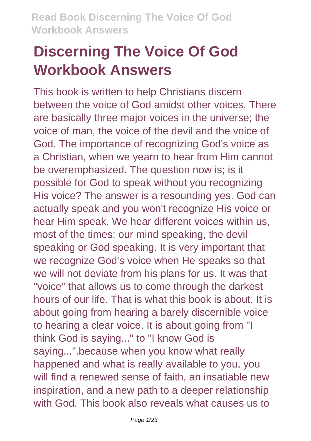# **Discerning The Voice Of God Workbook Answers**

This book is written to help Christians discern between the voice of God amidst other voices. There are basically three major voices in the universe; the voice of man, the voice of the devil and the voice of God. The importance of recognizing God's voice as a Christian, when we yearn to hear from Him cannot be overemphasized. The question now is; is it possible for God to speak without you recognizing His voice? The answer is a resounding yes. God can actually speak and you won't recognize His voice or hear Him speak. We hear different voices within us, most of the times; our mind speaking, the devil speaking or God speaking. It is very important that we recognize God's voice when He speaks so that we will not deviate from his plans for us. It was that "voice" that allows us to come through the darkest hours of our life. That is what this book is about. It is about going from hearing a barely discernible voice to hearing a clear voice. It is about going from "I think God is saying..." to "I know God is saying...".because when you know what really happened and what is really available to you, you will find a renewed sense of faith, an insatiable new inspiration, and a new path to a deeper relationship with God. This book also reveals what causes us to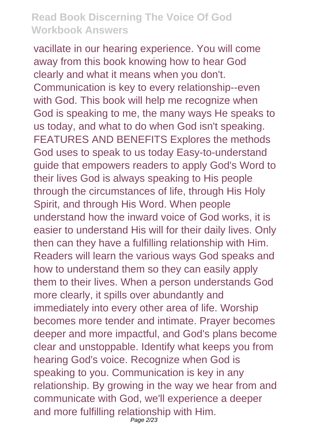vacillate in our hearing experience. You will come away from this book knowing how to hear God clearly and what it means when you don't. Communication is key to every relationship--even with God. This book will help me recognize when God is speaking to me, the many ways He speaks to us today, and what to do when God isn't speaking. FEATURES AND BENEFITS Explores the methods God uses to speak to us today Easy-to-understand guide that empowers readers to apply God's Word to their lives God is always speaking to His people through the circumstances of life, through His Holy Spirit, and through His Word. When people understand how the inward voice of God works, it is easier to understand His will for their daily lives. Only then can they have a fulfilling relationship with Him. Readers will learn the various ways God speaks and how to understand them so they can easily apply them to their lives. When a person understands God more clearly, it spills over abundantly and immediately into every other area of life. Worship becomes more tender and intimate. Prayer becomes deeper and more impactful, and God's plans become clear and unstoppable. Identify what keeps you from hearing God's voice. Recognize when God is speaking to you. Communication is key in any relationship. By growing in the way we hear from and communicate with God, we'll experience a deeper and more fulfilling relationship with Him. Page 2/23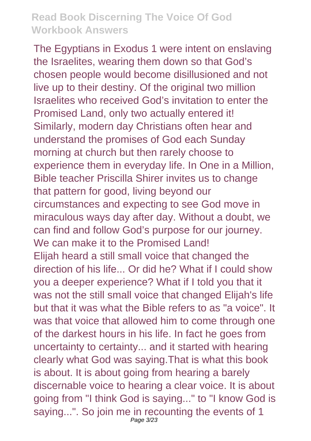The Egyptians in Exodus 1 were intent on enslaving the Israelites, wearing them down so that God's chosen people would become disillusioned and not live up to their destiny. Of the original two million Israelites who received God's invitation to enter the Promised Land, only two actually entered it! Similarly, modern day Christians often hear and understand the promises of God each Sunday morning at church but then rarely choose to experience them in everyday life. In One in a Million, Bible teacher Priscilla Shirer invites us to change that pattern for good, living beyond our circumstances and expecting to see God move in miraculous ways day after day. Without a doubt, we can find and follow God's purpose for our journey. We can make it to the Promised Land! Elijah heard a still small voice that changed the direction of his life... Or did he? What if I could show you a deeper experience? What if I told you that it was not the still small voice that changed Elijah's life but that it was what the Bible refers to as "a voice". It was that voice that allowed him to come through one of the darkest hours in his life. In fact he goes from uncertainty to certainty... and it started with hearing clearly what God was saying.That is what this book is about. It is about going from hearing a barely discernable voice to hearing a clear voice. It is about going from "I think God is saying..." to "I know God is saying...". So join me in recounting the events of 1 Page 3/23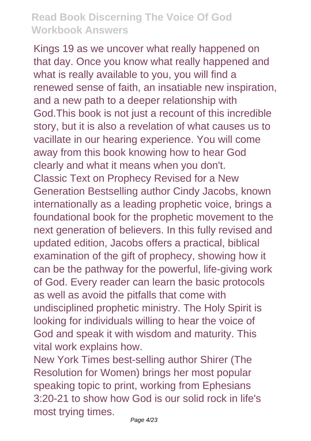Kings 19 as we uncover what really happened on that day. Once you know what really happened and what is really available to you, you will find a renewed sense of faith, an insatiable new inspiration, and a new path to a deeper relationship with God.This book is not just a recount of this incredible story, but it is also a revelation of what causes us to vacillate in our hearing experience. You will come away from this book knowing how to hear God clearly and what it means when you don't. Classic Text on Prophecy Revised for a New Generation Bestselling author Cindy Jacobs, known internationally as a leading prophetic voice, brings a foundational book for the prophetic movement to the next generation of believers. In this fully revised and updated edition, Jacobs offers a practical, biblical examination of the gift of prophecy, showing how it can be the pathway for the powerful, life-giving work of God. Every reader can learn the basic protocols as well as avoid the pitfalls that come with undisciplined prophetic ministry. The Holy Spirit is looking for individuals willing to hear the voice of God and speak it with wisdom and maturity. This vital work explains how.

New York Times best-selling author Shirer (The Resolution for Women) brings her most popular speaking topic to print, working from Ephesians 3:20-21 to show how God is our solid rock in life's most trying times.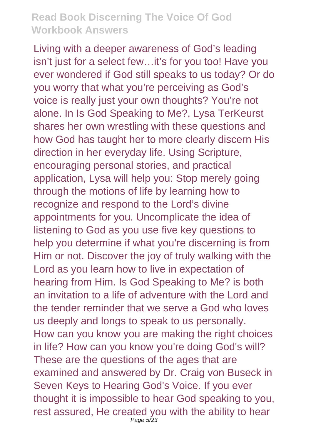Living with a deeper awareness of God's leading isn't just for a select few…it's for you too! Have you ever wondered if God still speaks to us today? Or do you worry that what you're perceiving as God's voice is really just your own thoughts? You're not alone. In Is God Speaking to Me?, Lysa TerKeurst shares her own wrestling with these questions and how God has taught her to more clearly discern His direction in her everyday life. Using Scripture, encouraging personal stories, and practical application, Lysa will help you: Stop merely going through the motions of life by learning how to recognize and respond to the Lord's divine appointments for you. Uncomplicate the idea of listening to God as you use five key questions to help you determine if what you're discerning is from Him or not. Discover the joy of truly walking with the Lord as you learn how to live in expectation of hearing from Him. Is God Speaking to Me? is both an invitation to a life of adventure with the Lord and the tender reminder that we serve a God who loves us deeply and longs to speak to us personally. How can you know you are making the right choices in life? How can you know you're doing God's will? These are the questions of the ages that are examined and answered by Dr. Craig von Buseck in Seven Keys to Hearing God's Voice. If you ever thought it is impossible to hear God speaking to you, rest assured, He created you with the ability to hear Page 5/23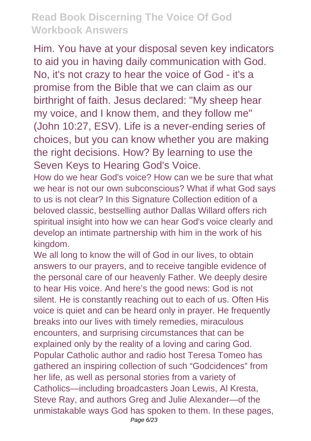Him. You have at your disposal seven key indicators to aid you in having daily communication with God. No, it's not crazy to hear the voice of God - it's a promise from the Bible that we can claim as our birthright of faith. Jesus declared: "My sheep hear my voice, and I know them, and they follow me" (John 10:27, ESV). Life is a never-ending series of choices, but you can know whether you are making the right decisions. How? By learning to use the Seven Keys to Hearing God's Voice.

How do we hear God's voice? How can we be sure that what we hear is not our own subconscious? What if what God says to us is not clear? In this Signature Collection edition of a beloved classic, bestselling author Dallas Willard offers rich spiritual insight into how we can hear God's voice clearly and develop an intimate partnership with him in the work of his kingdom.

We all long to know the will of God in our lives, to obtain answers to our prayers, and to receive tangible evidence of the personal care of our heavenly Father. We deeply desire to hear His voice. And here's the good news: God is not silent. He is constantly reaching out to each of us. Often His voice is quiet and can be heard only in prayer. He frequently breaks into our lives with timely remedies, miraculous encounters, and surprising circumstances that can be explained only by the reality of a loving and caring God. Popular Catholic author and radio host Teresa Tomeo has gathered an inspiring collection of such "Godcidences" from her life, as well as personal stories from a variety of Catholics—including broadcasters Joan Lewis, Al Kresta, Steve Ray, and authors Greg and Julie Alexander—of the unmistakable ways God has spoken to them. In these pages, Page 6/23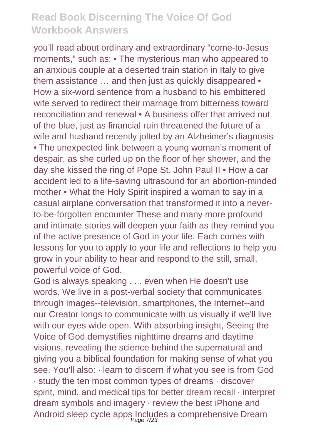you'll read about ordinary and extraordinary "come-to-Jesus moments," such as: • The mysterious man who appeared to an anxious couple at a deserted train station in Italy to give them assistance ... and then just as quickly disappeared • How a six-word sentence from a husband to his embittered wife served to redirect their marriage from bitterness toward reconciliation and renewal • A business offer that arrived out of the blue, just as financial ruin threatened the future of a wife and husband recently jolted by an Alzheimer's diagnosis • The unexpected link between a young woman's moment of despair, as she curled up on the floor of her shower, and the day she kissed the ring of Pope St. John Paul II • How a car accident led to a life-saving ultrasound for an abortion-minded mother • What the Holy Spirit inspired a woman to say in a casual airplane conversation that transformed it into a neverto-be-forgotten encounter These and many more profound and intimate stories will deepen your faith as they remind you of the active presence of God in your life. Each comes with lessons for you to apply to your life and reflections to help you grow in your ability to hear and respond to the still, small, powerful voice of God.

God is always speaking . . . even when He doesn't use words. We live in a post-verbal society that communicates through images--television, smartphones, the Internet--and our Creator longs to communicate with us visually if we'll live with our eyes wide open. With absorbing insight. Seeing the Voice of God demystifies nighttime dreams and daytime visions, revealing the science behind the supernatural and giving you a biblical foundation for making sense of what you see. You'll also: · learn to discern if what you see is from God · study the ten most common types of dreams · discover spirit, mind, and medical tips for better dream recall · interpret dream symbols and imagery · review the best iPhone and Android sleep cycle apps Includes a comprehensive Dream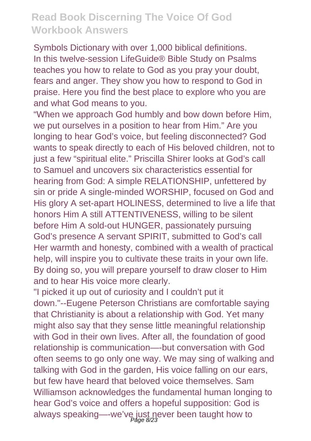Symbols Dictionary with over 1,000 biblical definitions. In this twelve-session LifeGuide® Bible Study on Psalms teaches you how to relate to God as you pray your doubt, fears and anger. They show you how to respond to God in praise. Here you find the best place to explore who you are and what God means to you.

"When we approach God humbly and bow down before Him, we put ourselves in a position to hear from Him." Are you longing to hear God's voice, but feeling disconnected? God wants to speak directly to each of His beloved children, not to just a few "spiritual elite." Priscilla Shirer looks at God's call to Samuel and uncovers six characteristics essential for hearing from God: A simple RELATIONSHIP, unfettered by sin or pride A single-minded WORSHIP, focused on God and His glory A set-apart HOLINESS, determined to live a life that honors Him A still ATTENTIVENESS, willing to be silent before Him A sold-out HUNGER, passionately pursuing God's presence A servant SPIRIT, submitted to God's call Her warmth and honesty, combined with a wealth of practical help, will inspire you to cultivate these traits in your own life. By doing so, you will prepare yourself to draw closer to Him and to hear His voice more clearly.

"I picked it up out of curiosity and I couldn't put it down."--Eugene Peterson Christians are comfortable saying that Christianity is about a relationship with God. Yet many might also say that they sense little meaningful relationship with God in their own lives. After all, the foundation of good relationship is communication—-but conversation with God often seems to go only one way. We may sing of walking and talking with God in the garden, His voice falling on our ears, but few have heard that beloved voice themselves. Sam Williamson acknowledges the fundamental human longing to hear God's voice and offers a hopeful supposition: God is always speaking—-we've just never been taught how to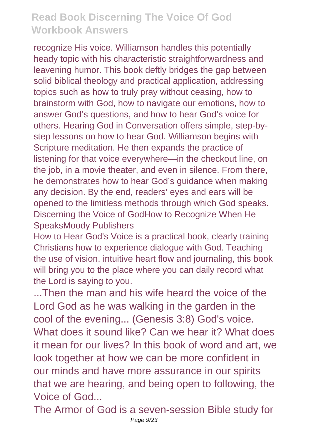recognize His voice. Williamson handles this potentially heady topic with his characteristic straightforwardness and leavening humor. This book deftly bridges the gap between solid biblical theology and practical application, addressing topics such as how to truly pray without ceasing, how to brainstorm with God, how to navigate our emotions, how to answer God's questions, and how to hear God's voice for others. Hearing God in Conversation offers simple, step-bystep lessons on how to hear God. Williamson begins with Scripture meditation. He then expands the practice of listening for that voice everywhere—in the checkout line, on the job, in a movie theater, and even in silence. From there, he demonstrates how to hear God's guidance when making any decision. By the end, readers' eyes and ears will be opened to the limitless methods through which God speaks. Discerning the Voice of GodHow to Recognize When He SpeaksMoody Publishers

How to Hear God's Voice is a practical book, clearly training Christians how to experience dialogue with God. Teaching the use of vision, intuitive heart flow and journaling, this book will bring you to the place where you can daily record what the Lord is saying to you.

...Then the man and his wife heard the voice of the Lord God as he was walking in the garden in the cool of the evening... (Genesis 3:8) God's voice. What does it sound like? Can we hear it? What does it mean for our lives? In this book of word and art, we look together at how we can be more confident in our minds and have more assurance in our spirits that we are hearing, and being open to following, the Voice of God...

The Armor of God is a seven-session Bible study for Page 9/23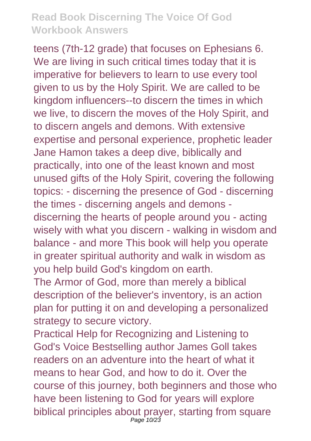teens (7th-12 grade) that focuses on Ephesians 6. We are living in such critical times today that it is imperative for believers to learn to use every tool given to us by the Holy Spirit. We are called to be kingdom influencers--to discern the times in which we live, to discern the moves of the Holy Spirit, and to discern angels and demons. With extensive expertise and personal experience, prophetic leader Jane Hamon takes a deep dive, biblically and practically, into one of the least known and most unused gifts of the Holy Spirit, covering the following topics: - discerning the presence of God - discerning the times - discerning angels and demons discerning the hearts of people around you - acting wisely with what you discern - walking in wisdom and balance - and more This book will help you operate in greater spiritual authority and walk in wisdom as you help build God's kingdom on earth.

The Armor of God, more than merely a biblical description of the believer's inventory, is an action plan for putting it on and developing a personalized strategy to secure victory.

Practical Help for Recognizing and Listening to God's Voice Bestselling author James Goll takes readers on an adventure into the heart of what it means to hear God, and how to do it. Over the course of this journey, both beginners and those who have been listening to God for years will explore biblical principles about prayer, starting from square Page 10/23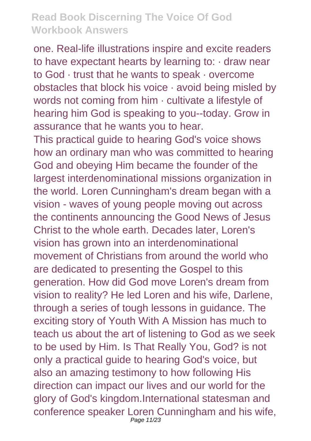one. Real-life illustrations inspire and excite readers to have expectant hearts by learning to: · draw near to God · trust that he wants to speak · overcome obstacles that block his voice · avoid being misled by words not coming from him · cultivate a lifestyle of hearing him God is speaking to you--today. Grow in assurance that he wants you to hear.

This practical guide to hearing God's voice shows how an ordinary man who was committed to hearing God and obeying Him became the founder of the largest interdenominational missions organization in the world. Loren Cunningham's dream began with a vision - waves of young people moving out across the continents announcing the Good News of Jesus Christ to the whole earth. Decades later, Loren's vision has grown into an interdenominational movement of Christians from around the world who are dedicated to presenting the Gospel to this generation. How did God move Loren's dream from vision to reality? He led Loren and his wife, Darlene, through a series of tough lessons in guidance. The exciting story of Youth With A Mission has much to teach us about the art of listening to God as we seek to be used by Him. Is That Really You, God? is not only a practical guide to hearing God's voice, but also an amazing testimony to how following His direction can impact our lives and our world for the glory of God's kingdom.International statesman and conference speaker Loren Cunningham and his wife, Page 11/23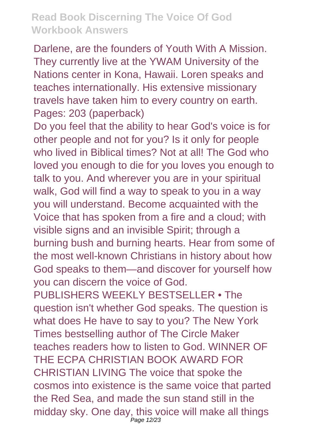Darlene, are the founders of Youth With A Mission. They currently live at the YWAM University of the Nations center in Kona, Hawaii. Loren speaks and teaches internationally. His extensive missionary travels have taken him to every country on earth. Pages: 203 (paperback)

Do you feel that the ability to hear God's voice is for other people and not for you? Is it only for people who lived in Biblical times? Not at all! The God who loved you enough to die for you loves you enough to talk to you. And wherever you are in your spiritual walk, God will find a way to speak to you in a way you will understand. Become acquainted with the Voice that has spoken from a fire and a cloud; with visible signs and an invisible Spirit; through a burning bush and burning hearts. Hear from some of the most well-known Christians in history about how God speaks to them—and discover for yourself how you can discern the voice of God. PUBLISHERS WEEKLY BESTSELLER . The question isn't whether God speaks. The question is what does He have to say to you? The New York Times bestselling author of The Circle Maker teaches readers how to listen to God. WINNER OF THE ECPA CHRISTIAN BOOK AWARD FOR CHRISTIAN LIVING The voice that spoke the cosmos into existence is the same voice that parted the Red Sea, and made the sun stand still in the midday sky. One day, this voice will make all things Page 12/23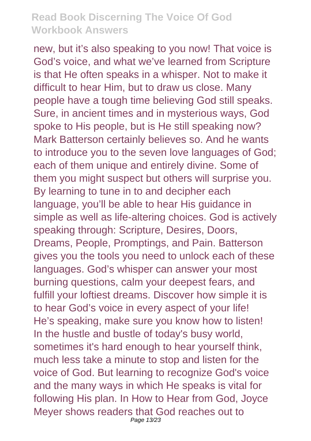new, but it's also speaking to you now! That voice is God's voice, and what we've learned from Scripture is that He often speaks in a whisper. Not to make it difficult to hear Him, but to draw us close. Many people have a tough time believing God still speaks. Sure, in ancient times and in mysterious ways, God spoke to His people, but is He still speaking now? Mark Batterson certainly believes so. And he wants to introduce you to the seven love languages of God; each of them unique and entirely divine. Some of them you might suspect but others will surprise you. By learning to tune in to and decipher each language, you'll be able to hear His guidance in simple as well as life-altering choices. God is actively speaking through: Scripture, Desires, Doors, Dreams, People, Promptings, and Pain. Batterson gives you the tools you need to unlock each of these languages. God's whisper can answer your most burning questions, calm your deepest fears, and fulfill your loftiest dreams. Discover how simple it is to hear God's voice in every aspect of your life! He's speaking, make sure you know how to listen! In the hustle and bustle of today's busy world, sometimes it's hard enough to hear yourself think, much less take a minute to stop and listen for the voice of God. But learning to recognize God's voice and the many ways in which He speaks is vital for following His plan. In How to Hear from God, Joyce Meyer shows readers that God reaches out to Page 13/23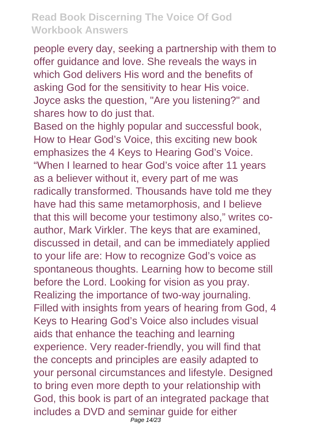people every day, seeking a partnership with them to offer guidance and love. She reveals the ways in which God delivers His word and the benefits of asking God for the sensitivity to hear His voice. Joyce asks the question, "Are you listening?" and shares how to do just that.

Based on the highly popular and successful book, How to Hear God's Voice, this exciting new book emphasizes the 4 Keys to Hearing God's Voice. "When I learned to hear God's voice after 11 years as a believer without it, every part of me was radically transformed. Thousands have told me they have had this same metamorphosis, and I believe that this will become your testimony also," writes coauthor, Mark Virkler. The keys that are examined, discussed in detail, and can be immediately applied to your life are: How to recognize God's voice as spontaneous thoughts. Learning how to become still before the Lord. Looking for vision as you pray. Realizing the importance of two-way journaling. Filled with insights from years of hearing from God, 4 Keys to Hearing God's Voice also includes visual aids that enhance the teaching and learning experience. Very reader-friendly, you will find that the concepts and principles are easily adapted to your personal circumstances and lifestyle. Designed to bring even more depth to your relationship with God, this book is part of an integrated package that includes a DVD and seminar guide for either Page 14/23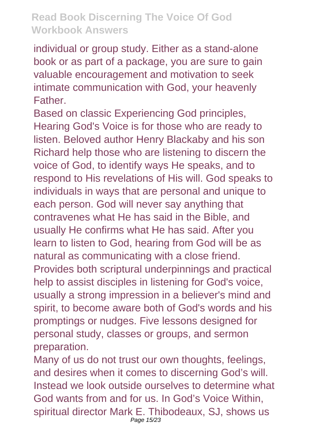individual or group study. Either as a stand-alone book or as part of a package, you are sure to gain valuable encouragement and motivation to seek intimate communication with God, your heavenly **Father** 

Based on classic Experiencing God principles, Hearing God's Voice is for those who are ready to listen. Beloved author Henry Blackaby and his son Richard help those who are listening to discern the voice of God, to identify ways He speaks, and to respond to His revelations of His will. God speaks to individuals in ways that are personal and unique to each person. God will never say anything that contravenes what He has said in the Bible, and usually He confirms what He has said. After you learn to listen to God, hearing from God will be as natural as communicating with a close friend. Provides both scriptural underpinnings and practical help to assist disciples in listening for God's voice, usually a strong impression in a believer's mind and spirit, to become aware both of God's words and his promptings or nudges. Five lessons designed for personal study, classes or groups, and sermon preparation.

Many of us do not trust our own thoughts, feelings, and desires when it comes to discerning God's will. Instead we look outside ourselves to determine what God wants from and for us. In God's Voice Within, spiritual director Mark E. Thibodeaux, SJ, shows us Page 15/23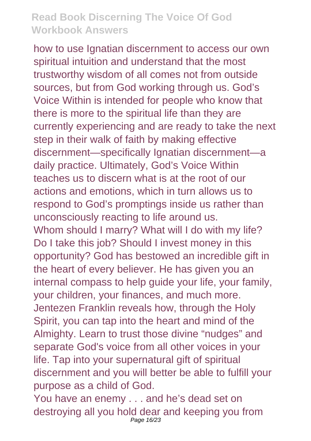how to use Ignatian discernment to access our own spiritual intuition and understand that the most trustworthy wisdom of all comes not from outside sources, but from God working through us. God's Voice Within is intended for people who know that there is more to the spiritual life than they are currently experiencing and are ready to take the next step in their walk of faith by making effective discernment—specifically Ignatian discernment—a daily practice. Ultimately, God's Voice Within teaches us to discern what is at the root of our actions and emotions, which in turn allows us to respond to God's promptings inside us rather than unconsciously reacting to life around us. Whom should I marry? What will I do with my life? Do I take this job? Should I invest money in this opportunity? God has bestowed an incredible gift in the heart of every believer. He has given you an internal compass to help guide your life, your family, your children, your finances, and much more. Jentezen Franklin reveals how, through the Holy Spirit, you can tap into the heart and mind of the Almighty. Learn to trust those divine "nudges" and separate God's voice from all other voices in your life. Tap into your supernatural gift of spiritual discernment and you will better be able to fulfill your purpose as a child of God.

You have an enemy . . . and he's dead set on destroying all you hold dear and keeping you from Page 16/23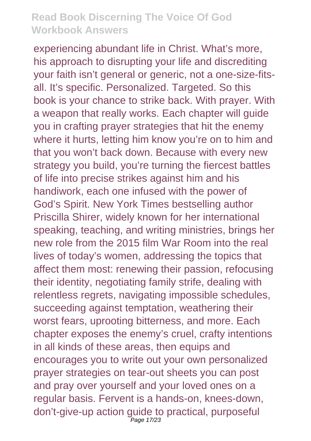experiencing abundant life in Christ. What's more, his approach to disrupting your life and discrediting your faith isn't general or generic, not a one-size-fitsall. It's specific. Personalized. Targeted. So this book is your chance to strike back. With prayer. With a weapon that really works. Each chapter will guide you in crafting prayer strategies that hit the enemy where it hurts, letting him know you're on to him and that you won't back down. Because with every new strategy you build, you're turning the fiercest battles of life into precise strikes against him and his handiwork, each one infused with the power of God's Spirit. New York Times bestselling author Priscilla Shirer, widely known for her international speaking, teaching, and writing ministries, brings her new role from the 2015 film War Room into the real lives of today's women, addressing the topics that affect them most: renewing their passion, refocusing their identity, negotiating family strife, dealing with relentless regrets, navigating impossible schedules, succeeding against temptation, weathering their worst fears, uprooting bitterness, and more. Each chapter exposes the enemy's cruel, crafty intentions in all kinds of these areas, then equips and encourages you to write out your own personalized prayer strategies on tear-out sheets you can post and pray over yourself and your loved ones on a regular basis. Fervent is a hands-on, knees-down, don't-give-up action guide to practical, purposeful Page 17/23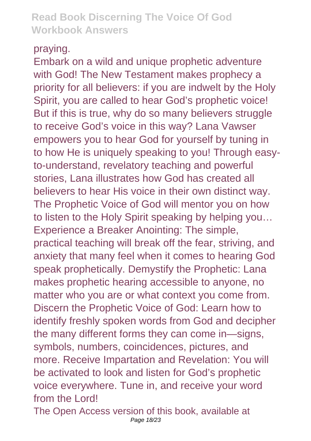#### praying.

Embark on a wild and unique prophetic adventure with God! The New Testament makes prophecy a priority for all believers: if you are indwelt by the Holy Spirit, you are called to hear God's prophetic voice! But if this is true, why do so many believers struggle to receive God's voice in this way? Lana Vawser empowers you to hear God for yourself by tuning in to how He is uniquely speaking to you! Through easyto-understand, revelatory teaching and powerful stories, Lana illustrates how God has created all believers to hear His voice in their own distinct way. The Prophetic Voice of God will mentor you on how to listen to the Holy Spirit speaking by helping you… Experience a Breaker Anointing: The simple, practical teaching will break off the fear, striving, and anxiety that many feel when it comes to hearing God speak prophetically. Demystify the Prophetic: Lana makes prophetic hearing accessible to anyone, no matter who you are or what context you come from. Discern the Prophetic Voice of God: Learn how to identify freshly spoken words from God and decipher the many different forms they can come in—signs, symbols, numbers, coincidences, pictures, and more. Receive Impartation and Revelation: You will be activated to look and listen for God's prophetic voice everywhere. Tune in, and receive your word from the Lord!

The Open Access version of this book, available at Page 18/23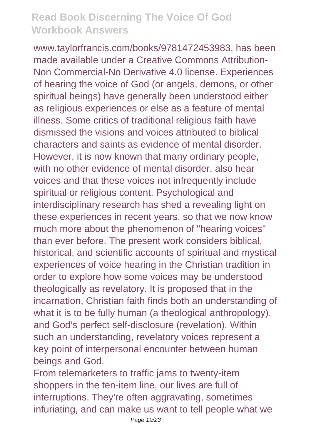www.taylorfrancis.com/books/9781472453983, has been made available under a Creative Commons Attribution-Non Commercial-No Derivative 4.0 license. Experiences of hearing the voice of God (or angels, demons, or other spiritual beings) have generally been understood either as religious experiences or else as a feature of mental illness. Some critics of traditional religious faith have dismissed the visions and voices attributed to biblical characters and saints as evidence of mental disorder. However, it is now known that many ordinary people, with no other evidence of mental disorder, also hear voices and that these voices not infrequently include spiritual or religious content. Psychological and interdisciplinary research has shed a revealing light on these experiences in recent years, so that we now know much more about the phenomenon of "hearing voices" than ever before. The present work considers biblical, historical, and scientific accounts of spiritual and mystical experiences of voice hearing in the Christian tradition in order to explore how some voices may be understood theologically as revelatory. It is proposed that in the incarnation, Christian faith finds both an understanding of what it is to be fully human (a theological anthropology), and God's perfect self-disclosure (revelation). Within such an understanding, revelatory voices represent a key point of interpersonal encounter between human beings and God.

From telemarketers to traffic jams to twenty-item shoppers in the ten-item line, our lives are full of interruptions. They're often aggravating, sometimes infuriating, and can make us want to tell people what we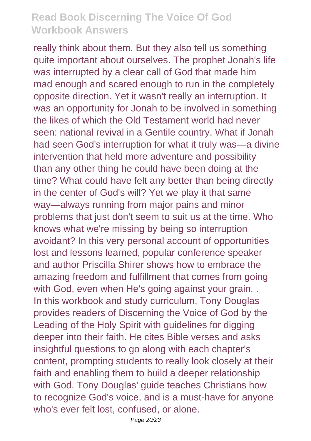really think about them. But they also tell us something quite important about ourselves. The prophet Jonah's life was interrupted by a clear call of God that made him mad enough and scared enough to run in the completely opposite direction. Yet it wasn't really an interruption. It was an opportunity for Jonah to be involved in something the likes of which the Old Testament world had never seen: national revival in a Gentile country. What if Jonah had seen God's interruption for what it truly was—a divine intervention that held more adventure and possibility than any other thing he could have been doing at the time? What could have felt any better than being directly in the center of God's will? Yet we play it that same way—always running from major pains and minor problems that just don't seem to suit us at the time. Who knows what we're missing by being so interruption avoidant? In this very personal account of opportunities lost and lessons learned, popular conference speaker and author Priscilla Shirer shows how to embrace the amazing freedom and fulfillment that comes from going with God, even when He's going against your grain... In this workbook and study curriculum, Tony Douglas provides readers of Discerning the Voice of God by the Leading of the Holy Spirit with guidelines for digging deeper into their faith. He cites Bible verses and asks insightful questions to go along with each chapter's content, prompting students to really look closely at their faith and enabling them to build a deeper relationship with God. Tony Douglas' guide teaches Christians how to recognize God's voice, and is a must-have for anyone who's ever felt lost, confused, or alone.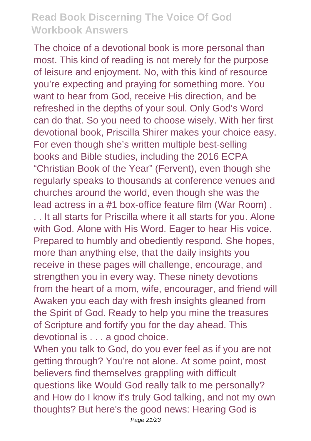The choice of a devotional book is more personal than most. This kind of reading is not merely for the purpose of leisure and enjoyment. No, with this kind of resource you're expecting and praying for something more. You want to hear from God, receive His direction, and be refreshed in the depths of your soul. Only God's Word can do that. So you need to choose wisely. With her first devotional book, Priscilla Shirer makes your choice easy. For even though she's written multiple best-selling books and Bible studies, including the 2016 ECPA "Christian Book of the Year" (Fervent), even though she regularly speaks to thousands at conference venues and churches around the world, even though she was the lead actress in a #1 box-office feature film (War Room) . . . It all starts for Priscilla where it all starts for you. Alone with God. Alone with His Word. Eager to hear His voice. Prepared to humbly and obediently respond. She hopes, more than anything else, that the daily insights you receive in these pages will challenge, encourage, and strengthen you in every way. These ninety devotions from the heart of a mom, wife, encourager, and friend will Awaken you each day with fresh insights gleaned from the Spirit of God. Ready to help you mine the treasures of Scripture and fortify you for the day ahead. This devotional is . . . a good choice.

When you talk to God, do you ever feel as if you are not getting through? You're not alone. At some point, most believers find themselves grappling with difficult questions like Would God really talk to me personally? and How do I know it's truly God talking, and not my own thoughts? But here's the good news: Hearing God is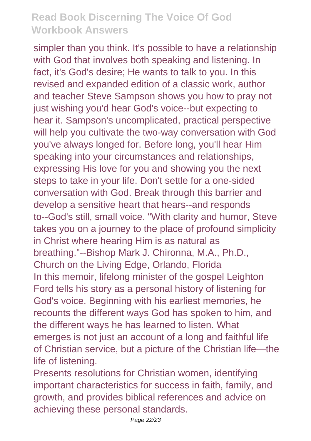simpler than you think. It's possible to have a relationship with God that involves both speaking and listening. In fact, it's God's desire; He wants to talk to you. In this revised and expanded edition of a classic work, author and teacher Steve Sampson shows you how to pray not just wishing you'd hear God's voice--but expecting to hear it. Sampson's uncomplicated, practical perspective will help you cultivate the two-way conversation with God you've always longed for. Before long, you'll hear Him speaking into your circumstances and relationships, expressing His love for you and showing you the next steps to take in your life. Don't settle for a one-sided conversation with God. Break through this barrier and develop a sensitive heart that hears--and responds to--God's still, small voice. "With clarity and humor, Steve takes you on a journey to the place of profound simplicity in Christ where hearing Him is as natural as breathing."--Bishop Mark J. Chironna, M.A., Ph.D., Church on the Living Edge, Orlando, Florida In this memoir, lifelong minister of the gospel Leighton Ford tells his story as a personal history of listening for God's voice. Beginning with his earliest memories, he recounts the different ways God has spoken to him, and the different ways he has learned to listen. What emerges is not just an account of a long and faithful life of Christian service, but a picture of the Christian life—the life of listening.

Presents resolutions for Christian women, identifying important characteristics for success in faith, family, and growth, and provides biblical references and advice on achieving these personal standards.